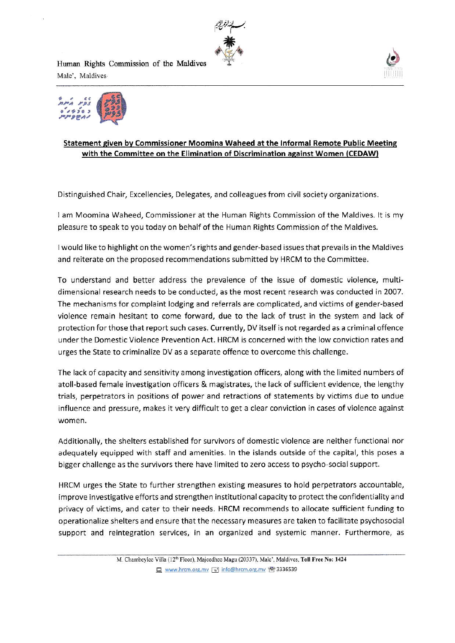

Human Rights Commission of the Maldives Male', Maldives





## Statement given by Commissioner Moomina Waheed at the Informal Remote Public Meeting with the Committee on the Elimination of Discrimination against Women (CEDAW)

Distinguished Chair, Excellencies, Delegates, and colleagues from civil society organizations.

<sup>1</sup>am Moomina Waheed, Cornmissioner at the Hurnan Rights Cornmisslon of the Maldives. lt is my pleasure to speak to you today on behalf of the Human Rights Commission of the Maldives.

I would like to highlight on the women's rights and gender-based issues that prevails in the Maldives and reiterate on the proposed recommendations submitted by HRCM to the Committee.

To understand and better address the prevalence of the issue of domestic violence, multidimensional research needs to be conducted, as the most recent research was conducted in 2007. The mechanisms for complaint lodging and referrals are complicated, and victims of gender-based violence remain hesitant to come forward, due to the lack of trust in the system and lack of protection for those that report such cases. Currently, DV itself is not regarded as a criminal offence under the Domestic Violence Prevention Act. HRCM ls concerned with the low conviction rates and urges the State to criminalize DV as a separate offence to overcome this challenge.

The lack of capacity and sensitivity among investigation officers, along with the limited numbers of atoll-based female investigation officers & magistrates, the lack of sufficient evidence, the lengthy trials, perpetrators in positions of power and retractions of statements by victims due to undue influence and pressure, makes it very difficult to get a clear conviction in cases of violence against women.

Additionally, the shelters establlshed for survivors of domestic violence are neither functional nor adequately equipped with staff and amenities. In the islands outside of the capital, this poses a bigger challenge as the survivors there have limited to zero access to psycho-social support.

HRCM urges the State to further strengthen existing measures to hold perpetrators accountable, improve investigative efforts and strengthen institutional capacity to protect the confidentiality and privacy of victims, and cater to their needs. HRCM recommends to allocate sufficient funding to operationalize shelters and ensure that the necessary measures are taken to facilitate psychosocial support and reintegration services, in an organized and systemic manner. Furthermore, as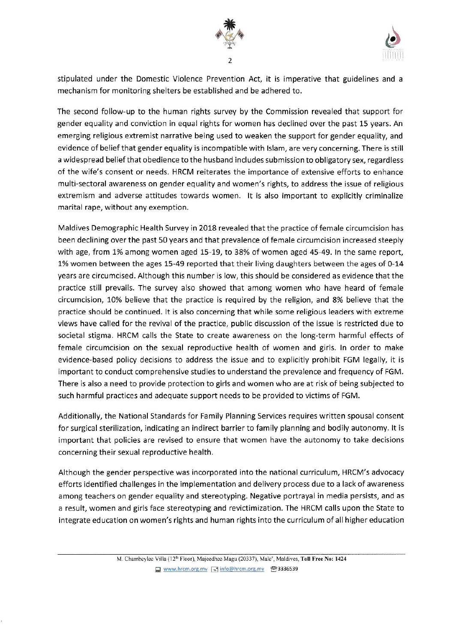



stipulated under the Domestic Violence Prevention Act, it is imperative that guidelines and <sup>a</sup> mechanism for monitoring shelters be established and be adhered to.

The second follow up to the human rights survey by the Commission revealed that support for gender equality and conviction in equal rights for women has declined over the past 15 years. An emerging religious extremist narrative being used to weaken the support for gender equality, and evidence of belief that gender equality is incompatible with Islam, are very concerning. There is still a widespread belief that obedience to the husband includes submission to obligatory sex, regardless of the wlfe's consent or needs. HRCM reiterates the importance of extensive efforts to enhance multi-sectoral awareness on gender equality and women's rights, to address the issue of religious extremism and adverse attitudes towards women. lt is also important to explicitly criminalize marital rape, without any exemption.

Maldives Demographic Health Survey in 2018 revealed that the practice of female circumcision has been declining over the past 50 years and that prevalence of female circumcision increased steeply with age, from 1% among women aged 15-19, to 38% of women aged 45-49. In the same report, 1% women between the ages 15-49 reported that their living daughters between the ages of 0-14 years are circumcised. Although this number is Iow, this should be considered as evidence that the practice still prevails. The survey also showed that among women who have heard of female circumcision, 10% believe that the practice is required by the religion, and 8% believe that the practice should be continued. lt is also concerning that while some religious leaders with extreme views have called for the revival of the practice, public discussion of the issue is restricted due to societal stigma. HRCM calls the State to create awareness on the long-term harmful effects of female circumcision on the sexual reproductive health of women and girls. In order to make evidence-based policy decisions to address the issue and to explicitly prohibit FGM legally, it is important to conduct comprehensive studies to understand the prevaience and frequency of FGM, There is also a need to provide protection to girls and women who are at risk of being subjected to such harmful practices and adequate support needs to be provided to victims of FGM.

Additionally, the National Standards for Family Planning Services requires written spousai consent for surgical sterilization, indicating an indirect barrier to family planning and bodily autonomy. It is important that policies are revised to ensure that women have the autonomy to take decisions concerning their sexuai reproductive health.

Although the gender perspective was incorporated into the national curriculum, HRCM's advocacy efforts identified challenges in the implementation and delivery process due to a lack of awareness among teachers on gender equality and stereotyping. Negative portrayal in media persists, and as a result, women and girls face stereotyping and revictimization. The HRCM calls upon the State to integrate education on women's rights and human rights into the curriculum of all higher education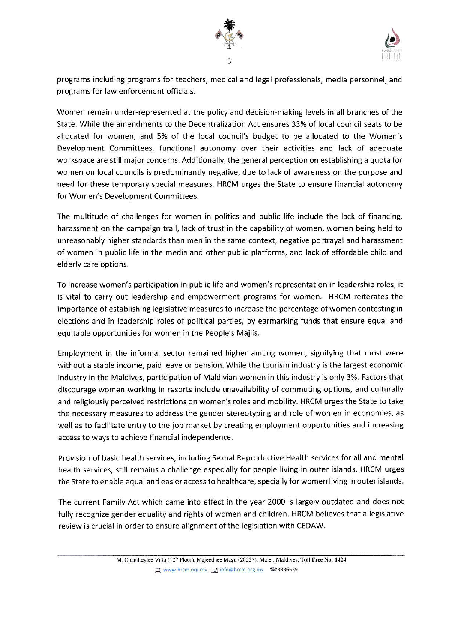



programs including programs for teachers, rnedical and legal professionals, media personnel, and programs for law enforcement officials.

Women remain under-represented at the policy and decision-making levels in all branches of the State. While the amendments to the Decentraiization Act ensures 33% of local councii seats to be allocated for women, and 5% of the local council's budget to be allocated to the Women's Development Committees, functional autonomy over their activities and lack of adequate workspace are still major concerns. Additionally, the general perception on establishing a quota for women on local councils is predominantly negative, due to lack of awareness on the purpose and need for these temporary special measures. HRCM urges the State to ensure financial autonorny for Women's Development Committees.

The multitude of challenges for women in politics and public life include the lack of financing, harassment on the campaign trail, lack of trust in the capability of women, women being held to unreasonably higher standards than men in the same context, negative portrayai and harassment of women in public life in the media ard other public platforms, and lack of affordable child and elderly care options.

To increase women's participation in public life and women's representation in leadership roles, it is vital to carry out leadership and empowerment programs for women. HRCM reiterates the importance of establishing legislative measures to increase the percentage of women contesting in elections and in leadership roles of political parties, by earmarking funds that ensure equal and equitable opportunities for women in the People's Majlis.

Employment in the informal sector remained higher among women, slgnifying that most were without a stable income, paid leave or pension. While the tourism industry is the largest economic industry in the Maldives, participation of Maldivian women in this industry is only 3%. Factors that discourage women working in resorts include unavailability of commuting options, and culturally and religiously perceived restrictions on women's roles and mobility. HRCM urges the State to take the necessary measures to address the gender stereotyping and role of women in economies, as well as to facilitate entry to the job market by creating employment opportunities and increasing access to ways to achieve financial independence.

Provision of basic health services, including Sexual Reproductive Health services for all and mental health services, still remains a challenge especially for people iving in outer isiands. HRCM urges the State to enable equal and easier access to healthcare, specially for women living in outer islands.

The current Family Act which came into effect in the year 2000 is largely outdated and does not fully recognize gender equality and rights of women and children. HRCM believes that a legislative review is crucial in order to ensure alignment of the legislation with CEDAW.